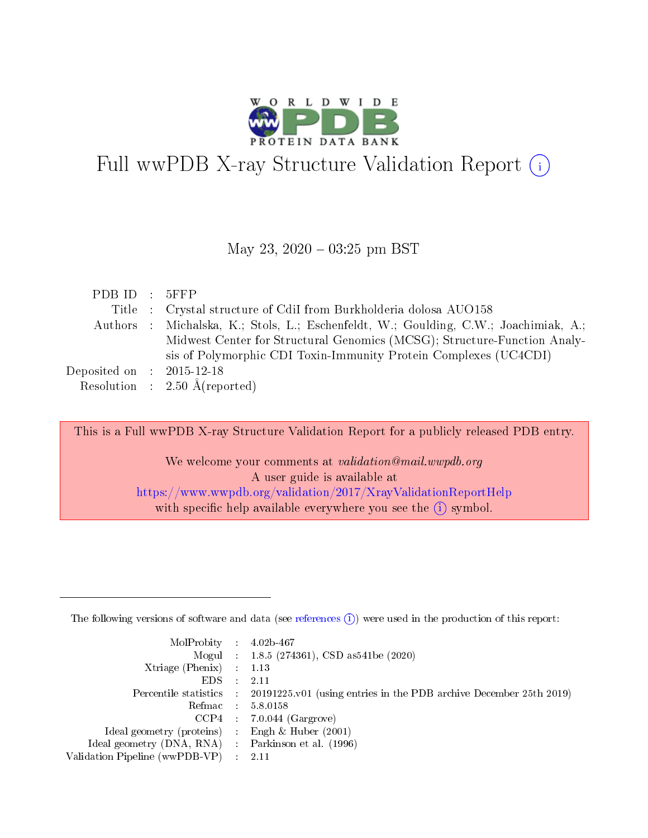

# Full wwPDB X-ray Structure Validation Report  $(i)$

#### May 23,  $2020 - 03:25$  pm BST

| PDB ID : 5FFP               |                                                                                      |
|-----------------------------|--------------------------------------------------------------------------------------|
|                             | Title : Crystal structure of Cdil from Burkholderia dolosa AUO158                    |
|                             | Authors : Michalska, K.; Stols, L.; Eschenfeldt, W.; Goulding, C.W.; Joachimiak, A.; |
|                             | Midwest Center for Structural Genomics (MCSG); Structure-Function Analy-             |
|                             | sis of Polymorphic CDI Toxin-Immunity Protein Complexes (UC4CDI)                     |
| Deposited on : $2015-12-18$ |                                                                                      |
|                             | Resolution : $2.50 \text{ Å}$ (reported)                                             |
|                             |                                                                                      |

This is a Full wwPDB X-ray Structure Validation Report for a publicly released PDB entry.

We welcome your comments at validation@mail.wwpdb.org A user guide is available at <https://www.wwpdb.org/validation/2017/XrayValidationReportHelp> with specific help available everywhere you see the  $(i)$  symbol.

The following versions of software and data (see [references](https://www.wwpdb.org/validation/2017/XrayValidationReportHelp#references)  $(1)$ ) were used in the production of this report:

| $MolProbability$ : 4.02b-467                        |                                                                                              |
|-----------------------------------------------------|----------------------------------------------------------------------------------------------|
|                                                     | Mogul : 1.8.5 (274361), CSD as 541 be (2020)                                                 |
| Xtriage (Phenix) $: 1.13$                           |                                                                                              |
| $EDS$ :                                             | -2.11                                                                                        |
|                                                     | Percentile statistics : $20191225.v01$ (using entries in the PDB archive December 25th 2019) |
| Refmac : 5.8.0158                                   |                                                                                              |
|                                                     | $CCP4$ : 7.0.044 (Gargrove)                                                                  |
| Ideal geometry (proteins) :                         | Engh $\&$ Huber (2001)                                                                       |
| Ideal geometry (DNA, RNA) : Parkinson et al. (1996) |                                                                                              |
| Validation Pipeline (wwPDB-VP) : 2.11               |                                                                                              |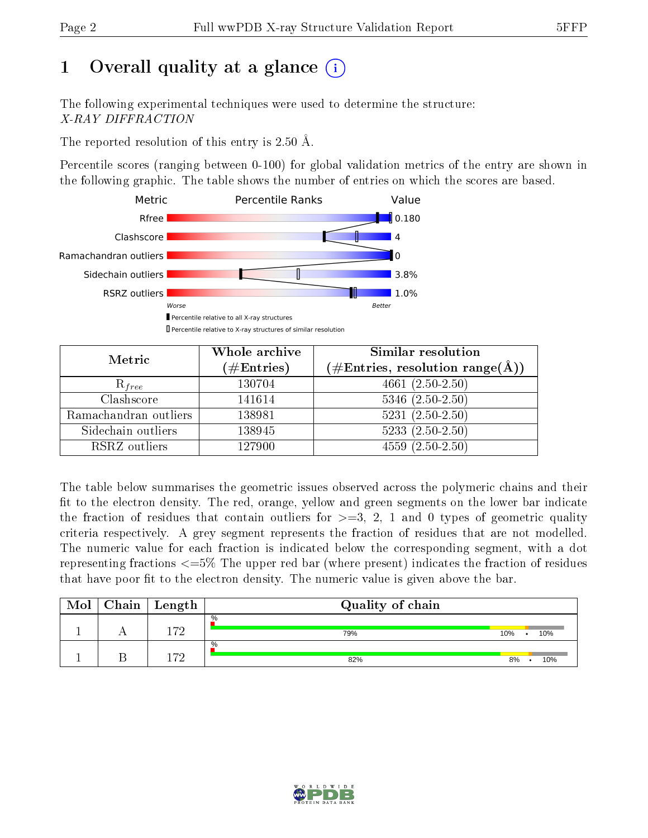# 1 [O](https://www.wwpdb.org/validation/2017/XrayValidationReportHelp#overall_quality)verall quality at a glance  $(i)$

The following experimental techniques were used to determine the structure: X-RAY DIFFRACTION

The reported resolution of this entry is 2.50 Å.

Percentile scores (ranging between 0-100) for global validation metrics of the entry are shown in the following graphic. The table shows the number of entries on which the scores are based.



| Metric                | Whole archive<br>$(\#\mathrm{Entries})$ | Similar resolution<br>$(\#\text{Entries},\,\text{resolution}\,\,\text{range}(\textup{\AA}))$ |  |  |
|-----------------------|-----------------------------------------|----------------------------------------------------------------------------------------------|--|--|
| $R_{free}$            | 130704                                  | $4661(2.50-2.50)$                                                                            |  |  |
| Clashscore            | 141614                                  | $5346$ $(2.50-2.50)$                                                                         |  |  |
| Ramachandran outliers | 138981                                  | $5231 (2.50 - 2.50)$                                                                         |  |  |
| Sidechain outliers    | 138945                                  | $5233(2.50-2.50)$                                                                            |  |  |
| RSRZ outliers         | 127900                                  | $4559(2.50-2.50)$                                                                            |  |  |

The table below summarises the geometric issues observed across the polymeric chains and their fit to the electron density. The red, orange, yellow and green segments on the lower bar indicate the fraction of residues that contain outliers for  $>=3, 2, 1$  and 0 types of geometric quality criteria respectively. A grey segment represents the fraction of residues that are not modelled. The numeric value for each fraction is indicated below the corresponding segment, with a dot representing fractions <=5% The upper red bar (where present) indicates the fraction of residues that have poor fit to the electron density. The numeric value is given above the bar.

| Mol | Chain | $\perp$ Length | Quality of chain |     |     |
|-----|-------|----------------|------------------|-----|-----|
|     |       | 170            | $\%$<br>79%      | 10% | 10% |
|     |       | 170            | $\%$<br>82%      | 8%  | 10% |

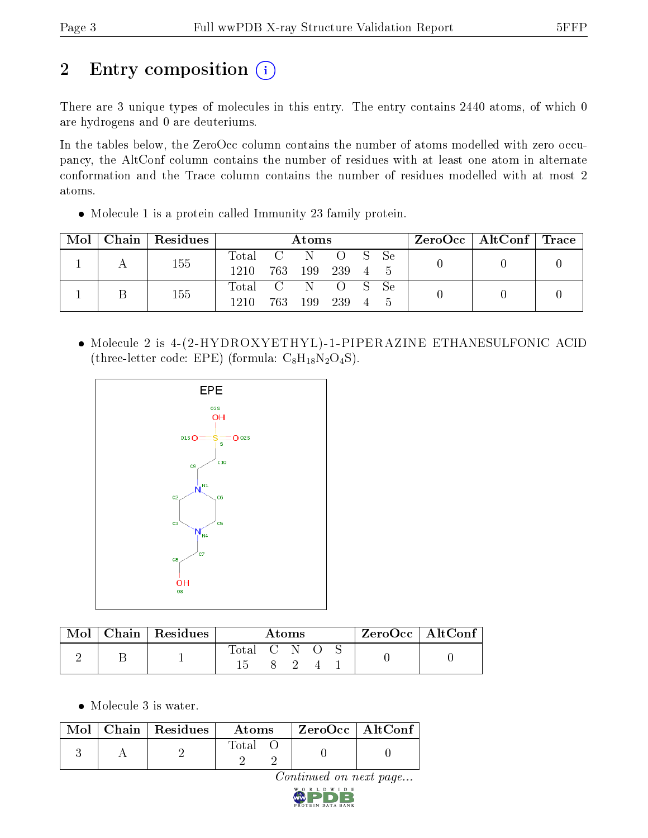# 2 Entry composition  $\left( \cdot \right)$

There are 3 unique types of molecules in this entry. The entry contains 2440 atoms, of which 0 are hydrogens and 0 are deuteriums.

In the tables below, the ZeroOcc column contains the number of atoms modelled with zero occupancy, the AltConf column contains the number of residues with at least one atom in alternate conformation and the Trace column contains the number of residues modelled with at most 2 atoms.

Molecule 1 is a protein called Immunity 23 family protein.

| Mol | Chain Residues | Atoms                     |     |                 |     |                | $\text{ZeroOcc}$   AltConf   Trace |  |  |
|-----|----------------|---------------------------|-----|-----------------|-----|----------------|------------------------------------|--|--|
|     | 155            | Total C N O S Se<br>1210- |     | 763 199 239 4 5 |     |                |                                    |  |  |
|     | 155            | Total C N O S<br>1210.    | 763 | - 199           | 239 | $\overline{4}$ | Se                                 |  |  |

 Molecule 2 is 4-(2-HYDROXYETHYL)-1-PIPERAZINE ETHANESULFONIC ACID (three-letter code: EPE) (formula:  $C_8H_{18}N_2O_4S$ ).



| Mol | Chain   Residues | Atoms |  |  |  | $ZeroOcc \   \ AltConf \  $ |  |
|-----|------------------|-------|--|--|--|-----------------------------|--|
|     |                  | Total |  |  |  |                             |  |
|     |                  |       |  |  |  |                             |  |

• Molecule 3 is water.

|  | $\text{Mol}$   Chain   Residues | Atoms       | $\mid$ ZeroOcc $\mid$ AltConf |  |
|--|---------------------------------|-------------|-------------------------------|--|
|  |                                 | $\rm Total$ |                               |  |

Continued on next page...

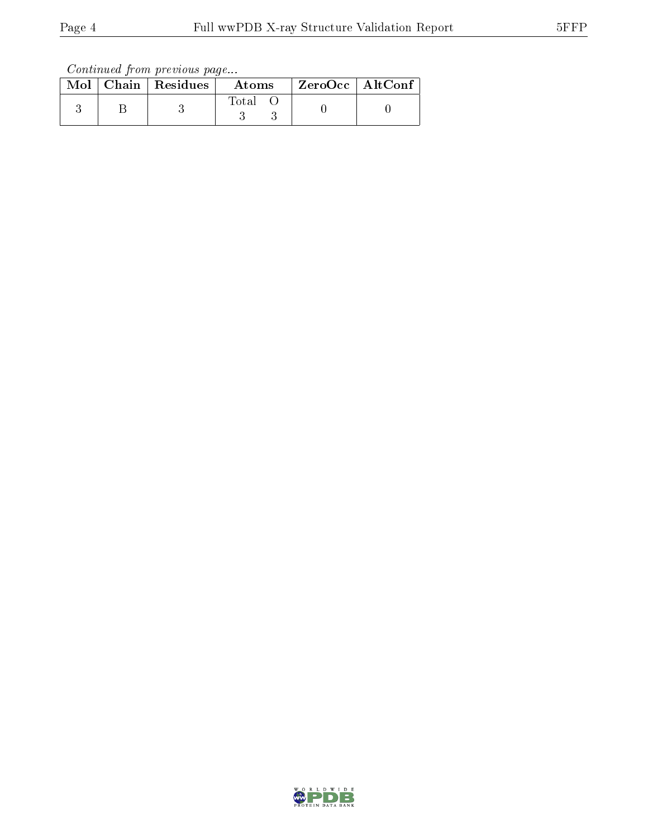Continued from previous page...

|  | $\text{Mol}$   Chain   Residues | Atoms | $\ $ ZeroOcc $\ $ AltConf $\ $ |
|--|---------------------------------|-------|--------------------------------|
|  |                                 | Total |                                |

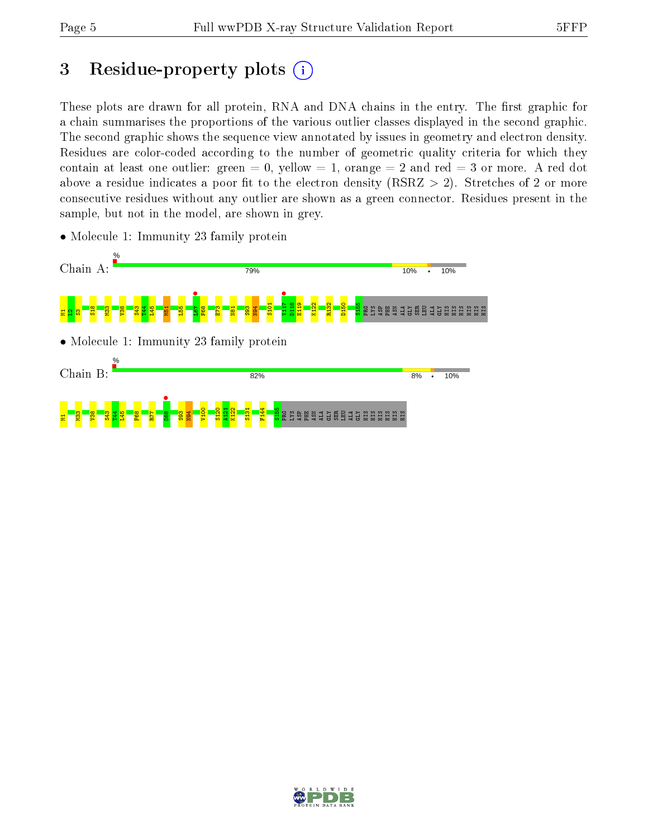# 3 Residue-property plots  $(i)$

These plots are drawn for all protein, RNA and DNA chains in the entry. The first graphic for a chain summarises the proportions of the various outlier classes displayed in the second graphic. The second graphic shows the sequence view annotated by issues in geometry and electron density. Residues are color-coded according to the number of geometric quality criteria for which they contain at least one outlier: green  $= 0$ , yellow  $= 1$ , orange  $= 2$  and red  $= 3$  or more. A red dot above a residue indicates a poor fit to the electron density (RSRZ  $> 2$ ). Stretches of 2 or more consecutive residues without any outlier are shown as a green connector. Residues present in the sample, but not in the model, are shown in grey.



• Molecule 1: Immunity 23 family protein

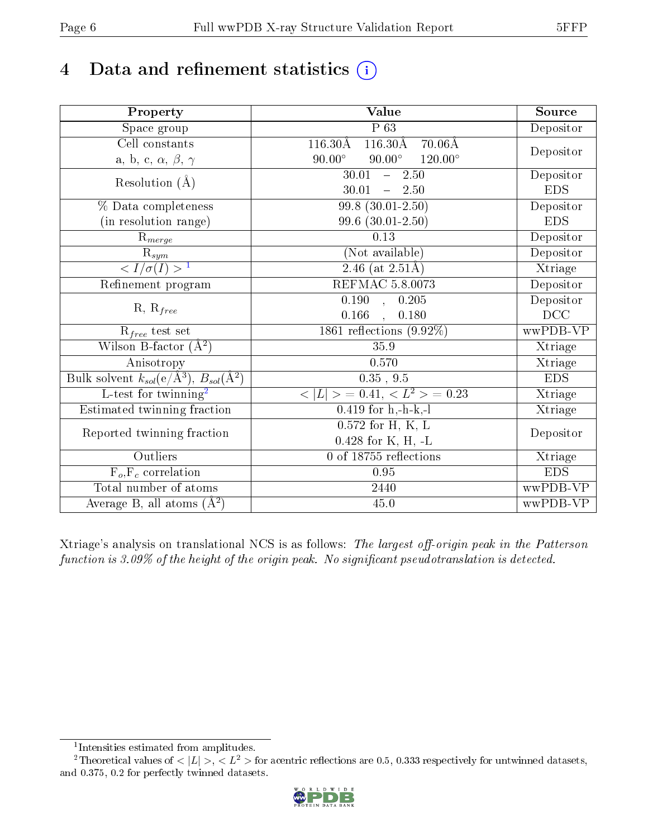# 4 Data and refinement statistics  $(i)$

| Property                                                         | Value                                                         | Source                        |
|------------------------------------------------------------------|---------------------------------------------------------------|-------------------------------|
| $\overline{\text{Space}}$ group                                  | $\overline{P_63}$                                             | Depositor                     |
| Cell constants                                                   | $116.30\text{\AA}$<br>$116.30\text{\AA}$<br>$70.06\text{\AA}$ |                               |
| a, b, c, $\alpha$ , $\beta$ , $\gamma$                           | $90.00^\circ$<br>$90.00^\circ$<br>$120.00^\circ$              | Depositor                     |
| Resolution $(\AA)$                                               | 30.01<br>$-2.50$                                              | Depositor                     |
|                                                                  | 30.01<br>$-2.50$                                              | <b>EDS</b>                    |
| % Data completeness                                              | $99.8(30.01-2.50)$                                            | Depositor                     |
| (in resolution range)                                            | 99.6 (30.01-2.50)                                             | <b>EDS</b>                    |
| $R_{merge}$                                                      | 0.13                                                          | $\overline{D}$ epositor       |
| $rac{R_{sym}}{<1/\sigma(I)>1}$                                   | (Not available)                                               | Depositor                     |
|                                                                  | $\overline{2.46}$ (at 2.51Å)                                  | Xtriage                       |
| Refinement program                                               | <b>REFMAC 5.8.0073</b>                                        | Depositor                     |
|                                                                  | 0.190<br>0.205<br>$\sim 10$                                   | Depositor                     |
| $R, R_{free}$                                                    | 0.166<br>0.180                                                | DCC                           |
| $\mathcal{R}_{free}$ test set                                    | 1861 reflections $(9.92\%)$                                   | wwPDB-VP                      |
| Wilson B-factor $(A^2)$                                          | 35.9                                                          | Xtriage                       |
| Anisotropy                                                       | 0.570                                                         | Xtriage                       |
| Bulk solvent $k_{sol}(\text{e}/\text{A}^3), B_{sol}(\text{A}^2)$ | $0.35$ , $9.5$                                                | <b>EDS</b>                    |
| $L$ -test for twinning <sup>2</sup>                              | $\langle  L  \rangle = 0.41, \langle L^2 \rangle = 0.23$      | Xtriage                       |
| Estimated twinning fraction                                      | $0.419$ for h,-h-k,-l                                         | Xtriage                       |
| Reported twinning fraction                                       | $0.572$ for H, K, L                                           | Depositor                     |
|                                                                  | $0.428$ for K, H, -L                                          |                               |
| Outliers                                                         | $0$ of 18755 reflections                                      | Xtriage                       |
| $\overline{F_o}, \overline{F_c}$ correlation                     | 0.95                                                          | <b>EDS</b>                    |
| Total number of atoms                                            | 2440                                                          | $\overline{\text{wwP}}$ DB-VP |
| Average B, all atoms $(A^2)$                                     | $45.0\,$                                                      | wwPDB-VP                      |

Xtriage's analysis on translational NCS is as follows: The largest off-origin peak in the Patterson function is  $3.09\%$  of the height of the origin peak. No significant pseudotranslation is detected.

<sup>&</sup>lt;sup>2</sup>Theoretical values of  $\langle |L| \rangle$ ,  $\langle L^2 \rangle$  for acentric reflections are 0.5, 0.333 respectively for untwinned datasets, and 0.375, 0.2 for perfectly twinned datasets.



<span id="page-5-1"></span><span id="page-5-0"></span><sup>1</sup> Intensities estimated from amplitudes.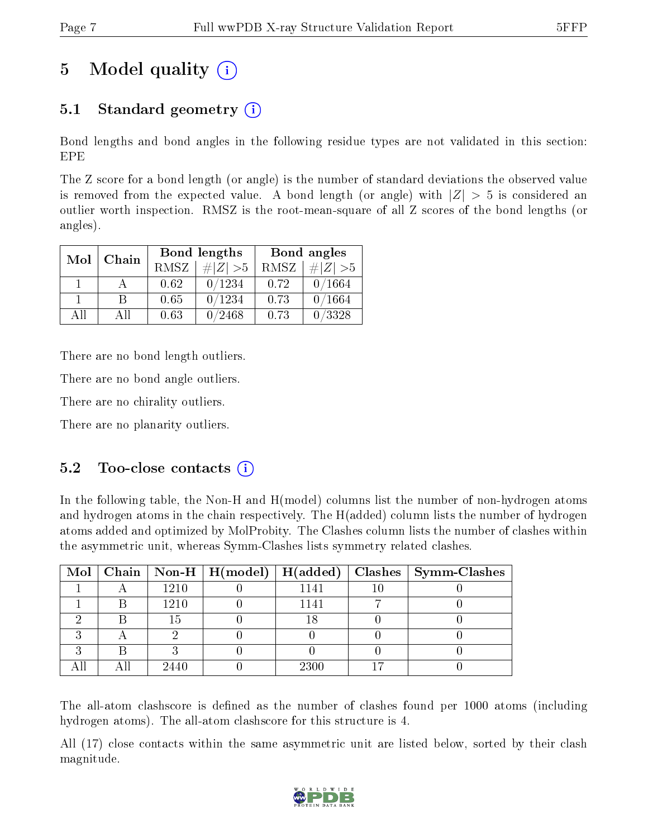# 5 Model quality  $(i)$

### 5.1 Standard geometry  $(i)$

Bond lengths and bond angles in the following residue types are not validated in this section: EPE

The Z score for a bond length (or angle) is the number of standard deviations the observed value is removed from the expected value. A bond length (or angle) with  $|Z| > 5$  is considered an outlier worth inspection. RMSZ is the root-mean-square of all Z scores of the bond lengths (or angles).

| Mol | Chain |             | Bond lengths | Bond angles |             |  |
|-----|-------|-------------|--------------|-------------|-------------|--|
|     |       | <b>RMSZ</b> | $\# Z  > 5$  | RMSZ        | $\ Z\  > 5$ |  |
|     |       | 0.62        | 0/1234       | 0.72        | 0/1664      |  |
|     | R     | 0.65        | 0/1234       | 0.73        | 0/1664      |  |
| AH  | АH    | 0.63        | 0/2468       | 0.73        | 0/3328      |  |

There are no bond length outliers.

There are no bond angle outliers.

There are no chirality outliers.

There are no planarity outliers.

#### $5.2$  Too-close contacts  $(i)$

In the following table, the Non-H and H(model) columns list the number of non-hydrogen atoms and hydrogen atoms in the chain respectively. The H(added) column lists the number of hydrogen atoms added and optimized by MolProbity. The Clashes column lists the number of clashes within the asymmetric unit, whereas Symm-Clashes lists symmetry related clashes.

|  |      |      | Mol   Chain   Non-H   H(model)   H(added)   Clashes   Symm-Clashes |
|--|------|------|--------------------------------------------------------------------|
|  | 1210 | 1141 |                                                                    |
|  | 1210 | 1141 |                                                                    |
|  |      | 18   |                                                                    |
|  |      |      |                                                                    |
|  |      |      |                                                                    |
|  | 2440 | 2300 |                                                                    |

The all-atom clashscore is defined as the number of clashes found per 1000 atoms (including hydrogen atoms). The all-atom clashscore for this structure is 4.

All (17) close contacts within the same asymmetric unit are listed below, sorted by their clash magnitude.

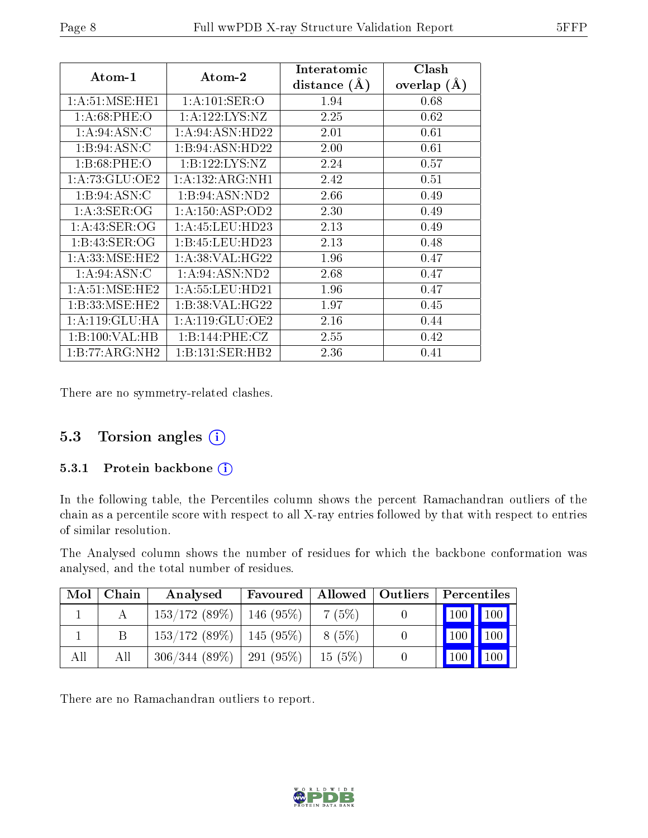| $\boldsymbol{\mathrm{Atom}\text{-}1}$ | $\boldsymbol{\mathrm{Atom}\text{-}2}$ | Interatomic<br>distance $(A)$ | Clash<br>overlap $(A)$ |
|---------------------------------------|---------------------------------------|-------------------------------|------------------------|
| 1: A:51: MSE: HE1                     | 1:A:101:SER:O                         | 1.94                          | 0.68                   |
| 1: A:68:PHE:O                         | 1: A: 122: LYS: NZ                    | 2.25                          | 0.62                   |
| 1: A:94: ASN: C                       | 1: A:94: ASN:HD22                     | 2.01                          | 0.61                   |
| 1: B:94: ASN: C                       | 1:B:94:ASN:HD22                       | 2.00                          | 0.61                   |
| 1: B:68:PHE:O                         | 1:B:122:LYS:NZ                        | 2.24                          | 0.57                   |
| 1: A:73: GLU:OE2                      | 1:A:132:ARG:NH1                       | 2.42                          | 0.51                   |
| 1: B:94: ASN: C                       | 1:B:94:ASN:ND2                        | 2.66                          | 0.49                   |
| 1: A:3: SER:OG                        | 1:A:150:ASP:OD2                       | 2.30                          | 0.49                   |
| 1: A:43: SER:OG                       | 1:A:45:LEU:HD23                       | 2.13                          | 0.49                   |
| 1:B:43:SER:OG                         | 1:B:45:LEU:HD23                       | 2.13                          | 0.48                   |
| 1: A:33: MSE:HE2                      | 1: A:38: VAL:HG22                     | 1.96                          | 0.47                   |
| 1: A:94: ASN: C                       | 1: A:94: ASN:ND2                      | 2.68                          | 0.47                   |
| 1: A:51: MSE:HE2                      | 1: A: 55: LEU: HD21                   | 1.96                          | 0.47                   |
| 1: B:33: MSE:HE2                      | 1:B:38:VAL:HG22                       | 1.97                          | 0.45                   |
| 1:A:119:GLU:HA                        | $1:\overline{A}:119:\text{GLU}:OE2$   | 2.16                          | 0.44                   |
| 1:B:100:VAL:HB                        | 1:B:144:PHE:CZ                        | 2.55                          | 0.42                   |
| 1:B:77:ARG:NH2                        | 1:B:131:SER:HB2                       | 2.36                          | 0.41                   |

There are no symmetry-related clashes.

#### 5.3 Torsion angles  $(i)$

#### 5.3.1 Protein backbone (i)

In the following table, the Percentiles column shows the percent Ramachandran outliers of the chain as a percentile score with respect to all X-ray entries followed by that with respect to entries of similar resolution.

The Analysed column shows the number of residues for which the backbone conformation was analysed, and the total number of residues.

| Mol | Chain | Analysed     | Favoured             | Allowed   Outliers | Percentiles |               |
|-----|-------|--------------|----------------------|--------------------|-------------|---------------|
|     |       | 153/172(89%) | $146(95\%)$          | 7(5%)              |             | 100 100       |
|     | B.    | 153/172(89%) | $^{\circ}$ 145 (95%) | 8 (5%)             |             | $100$   $100$ |
| All | Αll   | 306/344(89%) | 291(95%)             | 15(5%)             | 100         | 100           |

There are no Ramachandran outliers to report.

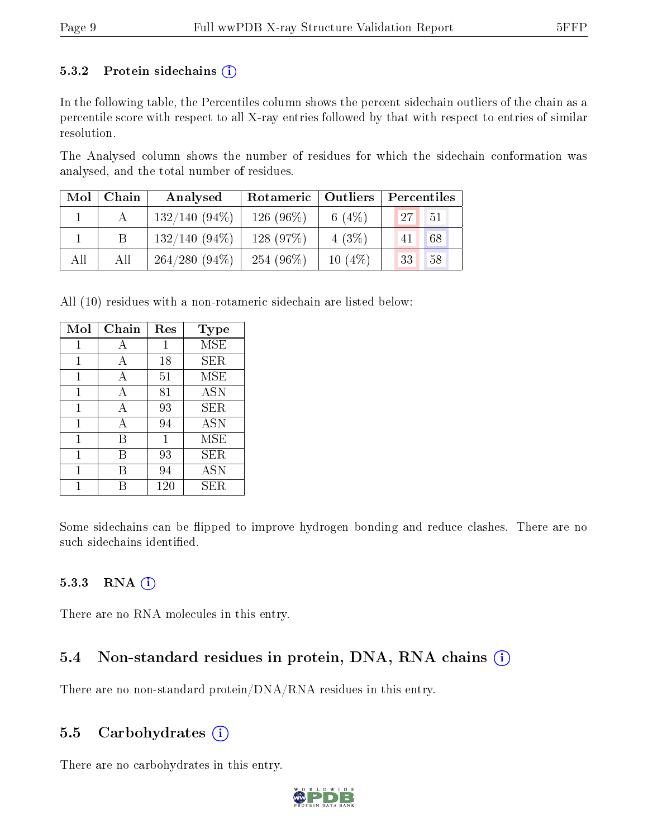#### 5.3.2 Protein sidechains  $(i)$

In the following table, the Percentiles column shows the percent sidechain outliers of the chain as a percentile score with respect to all X-ray entries followed by that with respect to entries of similar resolution.

The Analysed column shows the number of residues for which the sidechain conformation was analysed, and the total number of residues.

| Mol | Chain | Analysed        | Rotameric   Outliers |           | Percentiles                    |  |  |
|-----|-------|-----------------|----------------------|-----------|--------------------------------|--|--|
|     |       | $132/140(94\%)$ | $126(96\%)$          | 6 $(4\%)$ | $\sqrt{51}$<br>27 <sup>1</sup> |  |  |
|     |       | $132/140(94\%)$ | 128 (97%)            | 4(3%)     | 68<br>41                       |  |  |
| All | All   | $264/280(94\%)$ | $254(96\%)$          | $10(4\%)$ | 58<br>33                       |  |  |

All (10) residues with a non-rotameric sidechain are listed below:

| Mol | Chain | Res | Type       |
|-----|-------|-----|------------|
| 1   | A     | 1   | MSE        |
| 1   | А     | 18  | SER        |
| 1   | A     | 51  | MSE        |
| 1   | А     | 81  | <b>ASN</b> |
| 1   | A     | 93  | SER        |
| 1   | А     | 94  | <b>ASN</b> |
| 1   | В     | 1   | <b>MSE</b> |
| 1   | В     | 93  | SER        |
| 1   | R     | 94  | <b>ASN</b> |
|     |       | 120 | SER.       |

Some sidechains can be flipped to improve hydrogen bonding and reduce clashes. There are no such sidechains identified.

#### 5.3.3 RNA (1)

There are no RNA molecules in this entry.

#### 5.4 Non-standard residues in protein, DNA, RNA chains (i)

There are no non-standard protein/DNA/RNA residues in this entry.

#### 5.5 Carbohydrates  $(i)$

There are no carbohydrates in this entry.

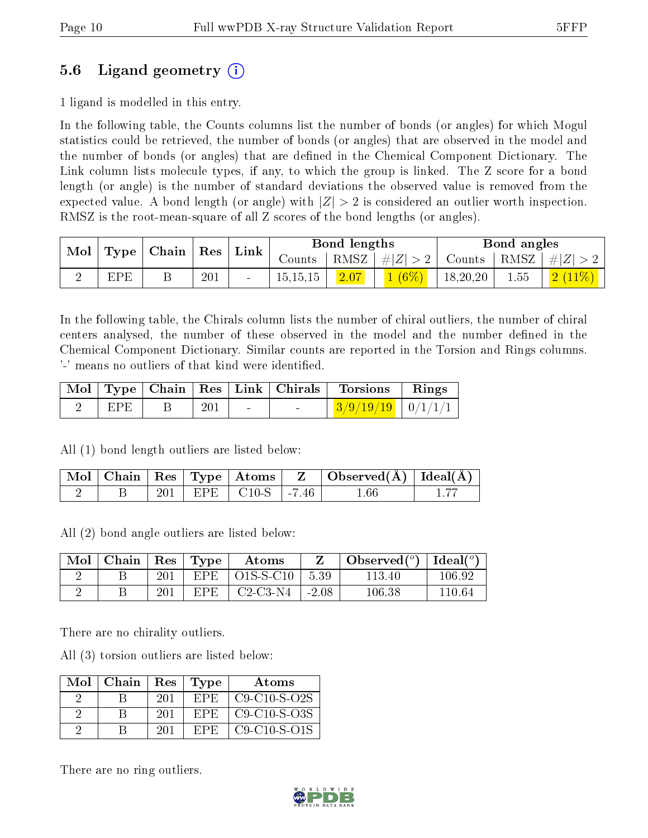### 5.6 Ligand geometry (i)

1 ligand is modelled in this entry.

In the following table, the Counts columns list the number of bonds (or angles) for which Mogul statistics could be retrieved, the number of bonds (or angles) that are observed in the model and the number of bonds (or angles) that are dened in the Chemical Component Dictionary. The Link column lists molecule types, if any, to which the group is linked. The Z score for a bond length (or angle) is the number of standard deviations the observed value is removed from the expected value. A bond length (or angle) with  $|Z| > 2$  is considered an outlier worth inspection. RMSZ is the root-mean-square of all Z scores of the bond lengths (or angles).

| $\operatorname{Mol}$<br>$\mid$ Type $\mid$ Chain $\mid$ Res $\mid$ |     | $^+$ Link | Bond lengths   |          |                    | Bond angles   |          |         |           |
|--------------------------------------------------------------------|-----|-----------|----------------|----------|--------------------|---------------|----------|---------|-----------|
|                                                                    |     |           | Counts         |          | RMSZ   $\# Z  > 2$ | Counts   RMSZ |          | $\# Z $ |           |
|                                                                    | EPE | 201       | $\blacksquare$ | 15,15,15 | 2.07               | $1(6\%)$      | 18,20,20 | 1.55    | $2(11\%)$ |

In the following table, the Chirals column lists the number of chiral outliers, the number of chiral centers analysed, the number of these observed in the model and the number defined in the Chemical Component Dictionary. Similar counts are reported in the Torsion and Rings columns. '-' means no outliers of that kind were identified.

|     |                 |        | Mol   Type   Chain   Res   Link   Chirals   Torsions   Rings |  |
|-----|-----------------|--------|--------------------------------------------------------------|--|
| EPE | $\frac{1}{201}$ | $\sim$ | $\frac{3}{9/19/19}$ 0/1/1/1                                  |  |

All (1) bond length outliers are listed below:

|  |     | $\lceil \overline{\text{Mol}} \rceil$ Chain   Res   Type   Atoms | $\mathbf{L}$ | $\mid$ Observed( $\AA$ ) $\mid$ Ideal( $\AA$ ) $\mid$ |  |
|--|-----|------------------------------------------------------------------|--------------|-------------------------------------------------------|--|
|  | 201 | $EPE$   C10-S   -7.46                                            |              | ' 66.                                                 |  |

All (2) bond angle outliers are listed below:

| Mol | Chain   $\text{Res}$   $\text{Type}$ |        |      | Atoms                                   | $\overline{ }$ | Observed $(°)$ | Ideal $(°)$ |
|-----|--------------------------------------|--------|------|-----------------------------------------|----------------|----------------|-------------|
| -   |                                      | 201    | FPE. | $\overline{O}$ O1S-S-C10 $\overline{O}$ | 5.39           | $113.40\,$     | 106.92      |
|     |                                      | $-201$ | EPE. | $C2-C3-N4$                              | $-2.08$        | $106.38\,$     | 110.64      |

There are no chirality outliers.

All (3) torsion outliers are listed below:

| Mol | Chain | Res | Type     | Atoms          |
|-----|-------|-----|----------|----------------|
|     |       | 201 | - F.D.F. | $C9-C10-S-O2S$ |
|     |       | 201 | -EPE     | $C9-C10-S-O3S$ |
|     |       | 201 |          | $C9-C10-S-O1S$ |

There are no ring outliers.

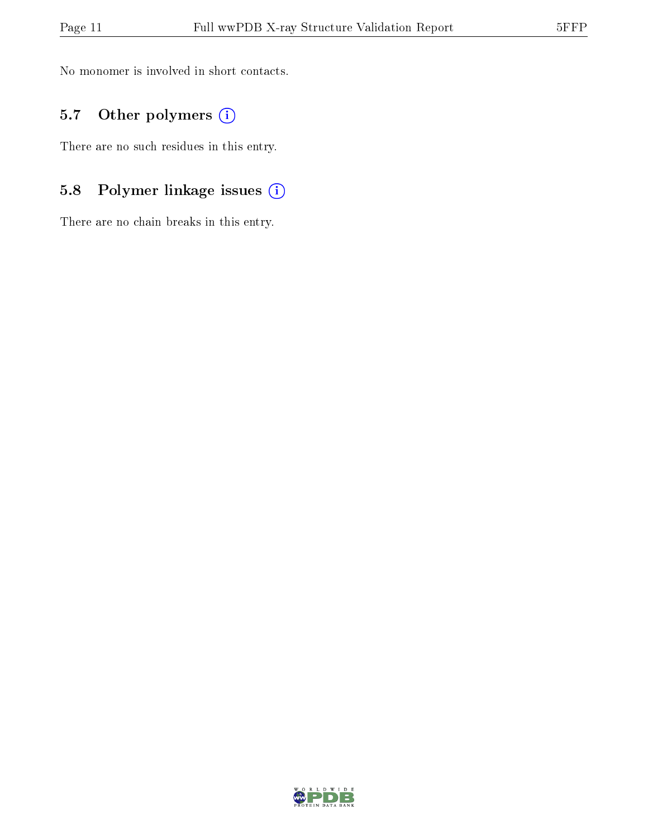No monomer is involved in short contacts.

### 5.7 [O](https://www.wwpdb.org/validation/2017/XrayValidationReportHelp#nonstandard_residues_and_ligands)ther polymers (i)

There are no such residues in this entry.

## 5.8 Polymer linkage issues (i)

There are no chain breaks in this entry.

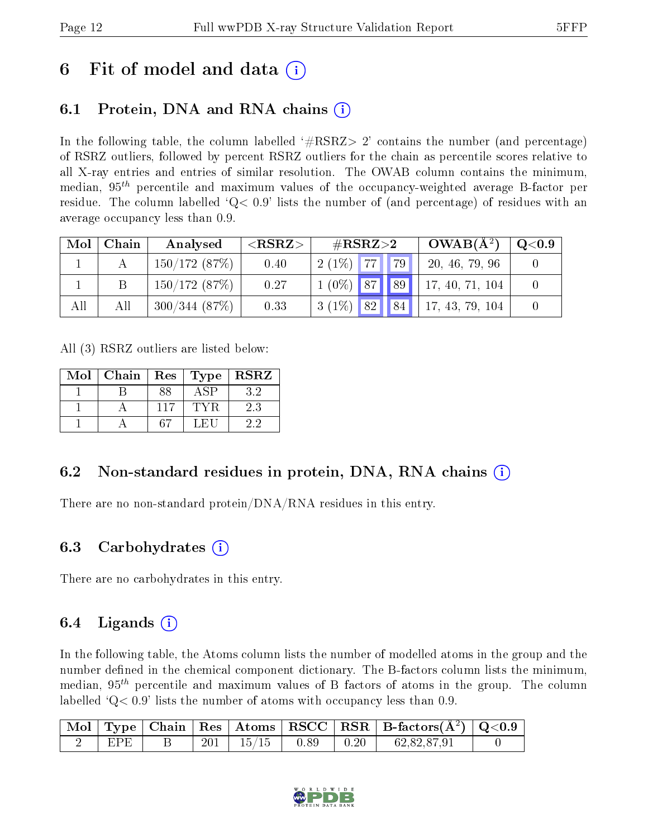## 6 Fit of model and data  $\left( \cdot \right)$

### 6.1 Protein, DNA and RNA chains (i)

In the following table, the column labelled  $#RSRZ>2'$  contains the number (and percentage) of RSRZ outliers, followed by percent RSRZ outliers for the chain as percentile scores relative to all X-ray entries and entries of similar resolution. The OWAB column contains the minimum, median,  $95<sup>th</sup>$  percentile and maximum values of the occupancy-weighted average B-factor per residue. The column labelled  $Q< 0.9$  lists the number of (and percentage) of residues with an average occupancy less than 0.9.

| Mol | Chain | Analysed        | ${ <\hspace{-1.5pt}{\mathrm{RSRZ}} \hspace{-1.5pt}>}$ | $\#\mathrm{RSRZ}{>}2$                   |  | $OWAB(A^2)$     | $\mathrm{Q}{<}0.9$ |
|-----|-------|-----------------|-------------------------------------------------------|-----------------------------------------|--|-----------------|--------------------|
|     |       | $150/172$ (87%) | 0.40                                                  | $\mid 2(1\%) \mid 77 \mid \mid 79 \mid$ |  | 20, 46, 79, 96  |                    |
|     |       | 150/172(87%)    | 0.27                                                  | $1(0\%)$ 87 89                          |  | 17, 40, 71, 104 |                    |
| All | All   | $300/344$ (87%) | 0.33                                                  | $3(1\%)$ 82 84                          |  | 17, 43, 79, 104 |                    |

All (3) RSRZ outliers are listed below:

| Mol | Chain | Res | Type        | <b>RSRZ</b> |
|-----|-------|-----|-------------|-------------|
|     |       | 88  | ${\rm ASP}$ | 3.2         |
|     |       | 117 | TYR.        | $2.3\,$     |
|     |       |     | ਾ , ਜਾਂ ਮ   |             |

### 6.2 Non-standard residues in protein, DNA, RNA chains (i)

There are no non-standard protein/DNA/RNA residues in this entry.

### 6.3 Carbohydrates (i)

There are no carbohydrates in this entry.

### 6.4 Ligands  $(i)$

In the following table, the Atoms column lists the number of modelled atoms in the group and the number defined in the chemical component dictionary. The B-factors column lists the minimum, median,  $95<sup>th</sup>$  percentile and maximum values of B factors of atoms in the group. The column labelled  $Q< 0.9$  lists the number of atoms with occupancy less than 0.9.

|            |  |                 |                                                                      | $\vert$ Mol $\vert$ Type $\vert$ Chain $\vert$ Res $\vert$ Atoms $\vert$ RSCC $\vert$ RSR $\vert$ B-factors(A <sup>2</sup> ) $\vert$ Q<0.9 |  |
|------------|--|-----------------|----------------------------------------------------------------------|--------------------------------------------------------------------------------------------------------------------------------------------|--|
| <b>EPE</b> |  | $201$   $15/15$ | $\begin{array}{ c c c c c } \hline 0.89 & 0.20 \ \hline \end{array}$ | 62,82,87,91                                                                                                                                |  |